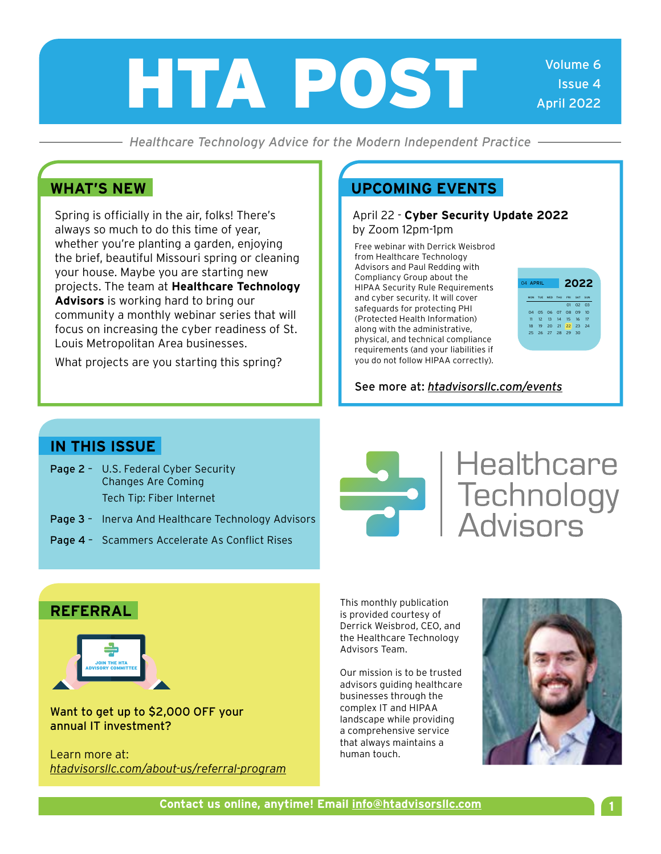# HTA POST

Volume 6 Issue 4 April 2022

*Healthcare Technology Advice for the Modern Independent Practice*

Spring is officially in the air, folks! There's always so much to do this time of year, whether you're planting a garden, enjoying the brief, beautiful Missouri spring or cleaning your house. Maybe you are starting new projects. The team at **Healthcare Technology Advisors** is working hard to bring our community a monthly webinar series that will focus on increasing the cyber readiness of St. Louis Metropolitan Area businesses.

What projects are you starting this spring?

#### **WHAT'S NEW UPCOMING EVENTS**

#### April 22 - **Cyber Security Update 2022** by Zoom 12pm-1pm

Free webinar with Derrick Weisbrod from Healthcare Technology Advisors and Paul Redding with Compliancy Group about the HIPAA Security Rule Requirements and cyber security. It will cover safeguards for protecting PHI (Protected Health Information) along with the administrative, physical, and technical compliance requirements (and your liabilities if you do not follow HIPAA correctly).



#### See more at: *[htadvisorsllc.com/events](http://htadvisorsllc.com/events)*

#### **IN THIS ISSUE**

- Page 2 U.S. Federal Cyber Security Changes Are Coming Tech Tip: Fiber Internet
- Page 3 Inerva And Healthcare Technology Advisors
- Page 4 Scammers Accelerate As Conflict Rises



## **Healthcare SAN**<br>Technology<br>Advisors

#### **REFERRAL**



Want to get up to \$2,000 OFF your annual IT investment?

Learn more at: *[htadvisorsllc.com/about-us/referral-program](http://htadvisorsllc.com/about-us/referral-program)* This monthly publication is provided courtesy of Derrick Weisbrod, CEO, and the Healthcare Technology Advisors Team.

Our mission is to be trusted advisors guiding healthcare businesses through the complex IT and HIPAA landscape while providing a comprehensive service that always maintains a human touch.

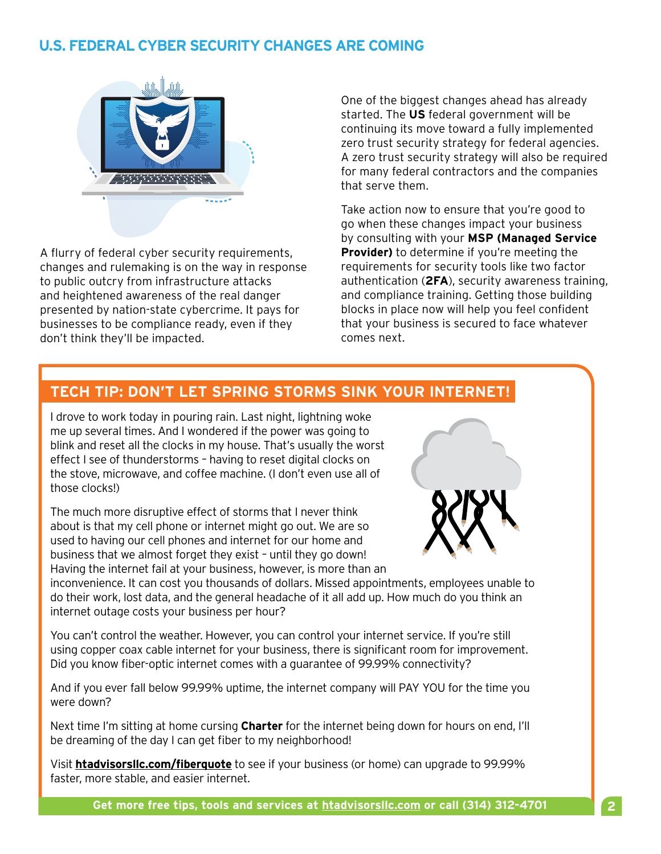#### **U.S. FEDERAL CYBER SECURITY CHANGES ARE COMING**



A flurry of federal cyber security requirements, changes and rulemaking is on the way in response to public outcry from infrastructure attacks and heightened awareness of the real danger presented by nation-state cybercrime. It pays for businesses to be compliance ready, even if they don't think they'll be impacted.

One of the biggest changes ahead has already started. The **US** federal government will be continuing its move toward a fully implemented zero trust security strategy for federal agencies. A zero trust security strategy will also be required for many federal contractors and the companies that serve them.

Take action now to ensure that you're good to go when these changes impact your business by consulting with your **MSP (Managed Service Provider)** to determine if you're meeting the requirements for security tools like two factor authentication (**2FA**), security awareness training, and compliance training. Getting those building blocks in place now will help you feel confident that your business is secured to face whatever comes next.

#### **TECH TIP: DON'T LET SPRING STORMS SINK YOUR INTERNET!**

I drove to work today in pouring rain. Last night, lightning woke me up several times. And I wondered if the power was going to blink and reset all the clocks in my house. That's usually the worst effect I see of thunderstorms – having to reset digital clocks on the stove, microwave, and coffee machine. (I don't even use all of those clocks!)

The much more disruptive effect of storms that I never think about is that my cell phone or internet might go out. We are so used to having our cell phones and internet for our home and business that we almost forget they exist – until they go down! Having the internet fail at your business, however, is more than an



inconvenience. It can cost you thousands of dollars. Missed appointments, employees unable to do their work, lost data, and the general headache of it all add up. How much do you think an internet outage costs your business per hour?

You can't control the weather. However, you can control your internet service. If you're still using copper coax cable internet for your business, there is significant room for improvement. Did you know fiber-optic internet comes with a guarantee of 99.99% connectivity?

And if you ever fall below 99.99% uptime, the internet company will PAY YOU for the time you were down?

Next time I'm sitting at home cursing **Charter** for the internet being down for hours on end, I'll be dreaming of the day I can get fiber to my neighborhood!

Visit **[htadvisorsllc.com/fiberquote](http://htadvisorsllc.com/fiberquote)** to see if your business (or home) can upgrade to 99.99% faster, more stable, and easier internet.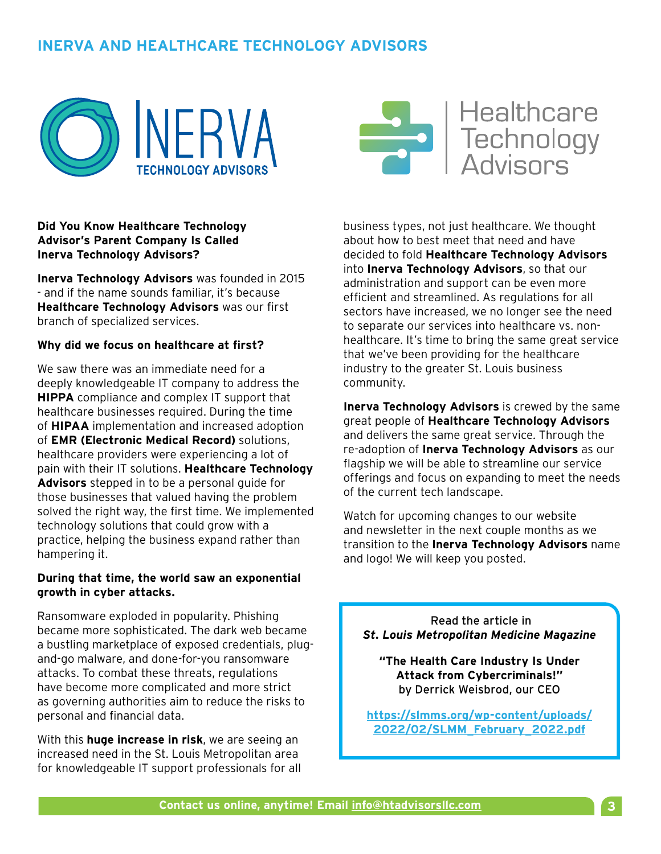### **INERVA AND HEALTHCARE TECHNOLOGY ADVISORS**





**Healthcare** Technology<br>Advisors

#### **Did You Know Healthcare Technology Advisor's Parent Company Is Called Inerva Technology Advisors?**

**Inerva Technology Advisors** was founded in 2015 - and if the name sounds familiar, it's because **Healthcare Technology Advisors** was our first branch of specialized services.

#### **Why did we focus on healthcare at first?**

We saw there was an immediate need for a deeply knowledgeable IT company to address the **HIPPA** compliance and complex IT support that healthcare businesses required. During the time of **HIPAA** implementation and increased adoption of **EMR (Electronic Medical Record)** solutions, healthcare providers were experiencing a lot of pain with their IT solutions. **Healthcare Technology Advisors** stepped in to be a personal guide for those businesses that valued having the problem solved the right way, the first time. We implemented technology solutions that could grow with a practice, helping the business expand rather than hampering it.

#### **During that time, the world saw an exponential growth in cyber attacks.**

Ransomware exploded in popularity. Phishing became more sophisticated. The dark web became a bustling marketplace of exposed credentials, plugand-go malware, and done-for-you ransomware attacks. To combat these threats, regulations have become more complicated and more strict as governing authorities aim to reduce the risks to personal and financial data.

With this **huge increase in risk**, we are seeing an increased need in the St. Louis Metropolitan area for knowledgeable IT support professionals for all business types, not just healthcare. We thought about how to best meet that need and have decided to fold **Healthcare Technology Advisors** into **Inerva Technology Advisors**, so that our administration and support can be even more efficient and streamlined. As regulations for all sectors have increased, we no longer see the need to separate our services into healthcare vs. nonhealthcare. It's time to bring the same great service that we've been providing for the healthcare industry to the greater St. Louis business community.

**Inerva Technology Advisors** is crewed by the same great people of **Healthcare Technology Advisors** and delivers the same great service. Through the re-adoption of **Inerva Technology Advisors** as our flagship we will be able to streamline our service offerings and focus on expanding to meet the needs of the current tech landscape.

Watch for upcoming changes to our website and newsletter in the next couple months as we transition to the **Inerva Technology Advisors** name and logo! We will keep you posted.

 Read the article in *St. Louis Metropolitan Medicine Magazine*

**"The Health Care Industry Is Under Attack from Cybercriminals!"** by Derrick Weisbrod, our CEO

**<https://slmms.org/wp-content/uploads/> 2022/02/SLMM\_February\_2022.pdf**